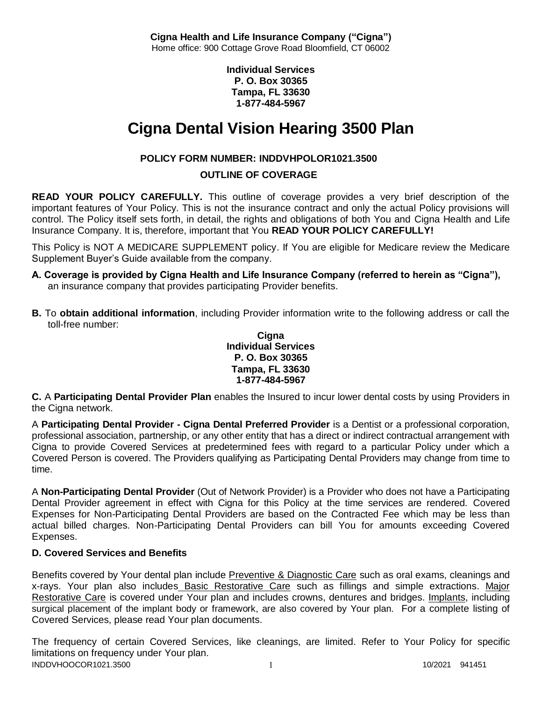**Individual Services P. O. Box 30365 Tampa, FL 33630 1-877-484-5967**

# **Cigna Dental Vision Hearing 3500 Plan**

# **POLICY FORM NUMBER: INDDVHPOLOR1021.3500**

# **OUTLINE OF COVERAGE**

**READ YOUR POLICY CAREFULLY.** This outline of coverage provides a very brief description of the important features of Your Policy. This is not the insurance contract and only the actual Policy provisions will control. The Policy itself sets forth, in detail, the rights and obligations of both You and Cigna Health and Life Insurance Company. It is, therefore, important that You **READ YOUR POLICY CAREFULLY!** 

This Policy is NOT A MEDICARE SUPPLEMENT policy. If You are eligible for Medicare review the Medicare Supplement Buyer's Guide available from the company.

- **A. Coverage is provided by Cigna Health and Life Insurance Company (referred to herein as "Cigna"),**  an insurance company that provides participating Provider benefits.
- **B.** To **obtain additional information**, including Provider information write to the following address or call the toll-free number:

#### **Cigna Individual Services P. O. Box 30365 Tampa, FL 33630 1-877-484-5967**

**C.** A **Participating Dental Provider Plan** enables the Insured to incur lower dental costs by using Providers in the Cigna network.

A **Participating Dental Provider - Cigna Dental Preferred Provider** is a Dentist or a professional corporation, professional association, partnership, or any other entity that has a direct or indirect contractual arrangement with Cigna to provide Covered Services at predetermined fees with regard to a particular Policy under which a Covered Person is covered. The Providers qualifying as Participating Dental Providers may change from time to time.

A **Non-Participating Dental Provider** (Out of Network Provider) is a Provider who does not have a Participating Dental Provider agreement in effect with Cigna for this Policy at the time services are rendered. Covered Expenses for Non-Participating Dental Providers are based on the Contracted Fee which may be less than actual billed charges. Non-Participating Dental Providers can bill You for amounts exceeding Covered Expenses.

# **D. Covered Services and Benefits**

Benefits covered by Your dental plan include Preventive & Diagnostic Care such as oral exams, cleanings and x-rays. Your plan also includes Basic Restorative Care such as fillings and simple extractions. Major Restorative Care is covered under Your plan and includes crowns, dentures and bridges. Implants, including surgical placement of the implant body or framework, are also covered by Your plan. For a complete listing of Covered Services, please read Your plan documents.

INDDVHOOCOR1021.3500 1 1 100/2021 941451 The frequency of certain Covered Services, like cleanings, are limited. Refer to Your Policy for specific limitations on frequency under Your plan.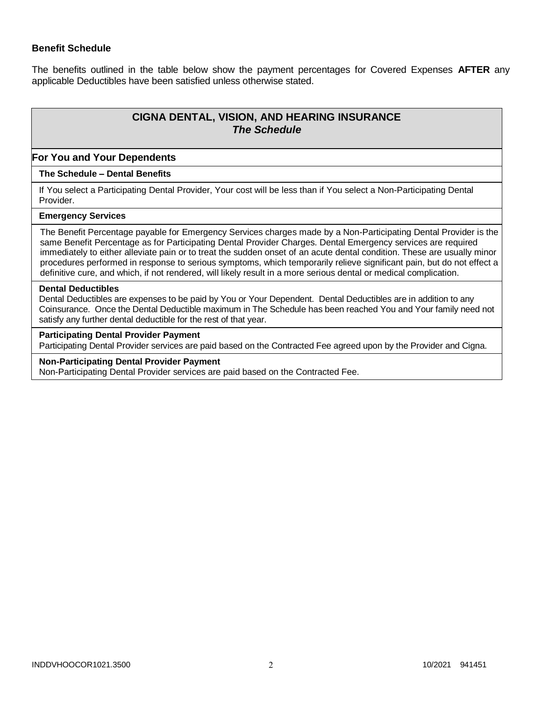### **Benefit Schedule**

The benefits outlined in the table below show the payment percentages for Covered Expenses **AFTER** any applicable Deductibles have been satisfied unless otherwise stated.

# **CIGNA DENTAL, VISION, AND HEARING INSURANCE** *The Schedule*

#### **For You and Your Dependents**

#### **The Schedule – Dental Benefits**

If You select a Participating Dental Provider, Your cost will be less than if You select a Non-Participating Dental Provider.

## **Emergency Services**

The Benefit Percentage payable for Emergency Services charges made by a Non-Participating Dental Provider is the same Benefit Percentage as for Participating Dental Provider Charges. Dental Emergency services are required immediately to either alleviate pain or to treat the sudden onset of an acute dental condition. These are usually minor procedures performed in response to serious symptoms, which temporarily relieve significant pain, but do not effect a definitive cure, and which, if not rendered, will likely result in a more serious dental or medical complication.

#### **Dental Deductibles**

Dental Deductibles are expenses to be paid by You or Your Dependent. Dental Deductibles are in addition to any Coinsurance. Once the Dental Deductible maximum in The Schedule has been reached You and Your family need not satisfy any further dental deductible for the rest of that year.

#### **Participating Dental Provider Payment**

Participating Dental Provider services are paid based on the Contracted Fee agreed upon by the Provider and Cigna.

#### **Non-Participating Dental Provider Payment**

Non-Participating Dental Provider services are paid based on the Contracted Fee.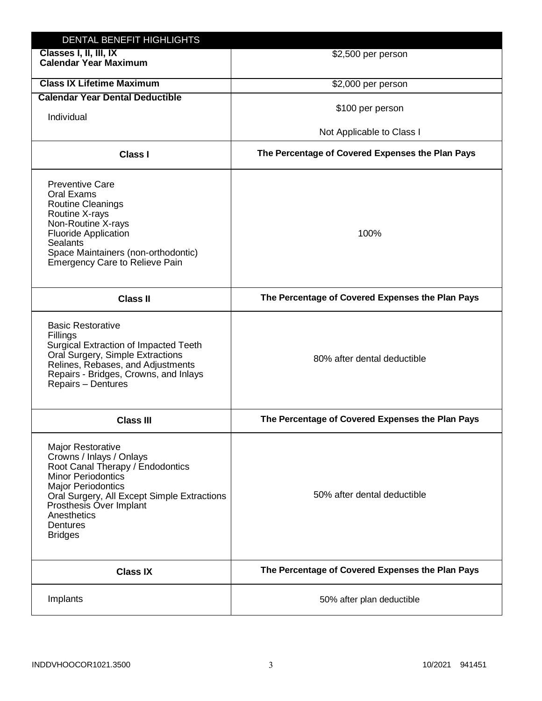| DENTAL BENEFIT HIGHLIGHTS                                                                                                                                                                                                                                          |                                                  |
|--------------------------------------------------------------------------------------------------------------------------------------------------------------------------------------------------------------------------------------------------------------------|--------------------------------------------------|
| Classes I, II, III, IX<br><b>Calendar Year Maximum</b>                                                                                                                                                                                                             | \$2,500 per person                               |
| <b>Class IX Lifetime Maximum</b>                                                                                                                                                                                                                                   | \$2,000 per person                               |
| <b>Calendar Year Dental Deductible</b>                                                                                                                                                                                                                             |                                                  |
| Individual                                                                                                                                                                                                                                                         | \$100 per person                                 |
|                                                                                                                                                                                                                                                                    | Not Applicable to Class I                        |
| <b>Class I</b>                                                                                                                                                                                                                                                     | The Percentage of Covered Expenses the Plan Pays |
| <b>Preventive Care</b><br>Oral Exams<br><b>Routine Cleanings</b><br>Routine X-rays<br>Non-Routine X-rays<br><b>Fluoride Application</b><br><b>Sealants</b><br>Space Maintainers (non-orthodontic)<br><b>Emergency Care to Relieve Pain</b>                         | 100%                                             |
| <b>Class II</b>                                                                                                                                                                                                                                                    | The Percentage of Covered Expenses the Plan Pays |
| <b>Basic Restorative</b><br>Fillings<br>Surgical Extraction of Impacted Teeth<br>Oral Surgery, Simple Extractions<br>Relines, Rebases, and Adjustments<br>Repairs - Bridges, Crowns, and Inlays<br>Repairs - Dentures                                              | 80% after dental deductible                      |
| <b>Class III</b>                                                                                                                                                                                                                                                   | The Percentage of Covered Expenses the Plan Pays |
| Major Restorative<br>Crowns / Inlays / Onlays<br>Root Canal Therapy / Endodontics<br><b>Minor Periodontics</b><br><b>Major Periodontics</b><br>Oral Surgery, All Except Simple Extractions<br>Prosthesis Over Implant<br>Anesthetics<br>Dentures<br><b>Bridges</b> | 50% after dental deductible                      |
| <b>Class IX</b>                                                                                                                                                                                                                                                    | The Percentage of Covered Expenses the Plan Pays |
| Implants                                                                                                                                                                                                                                                           | 50% after plan deductible                        |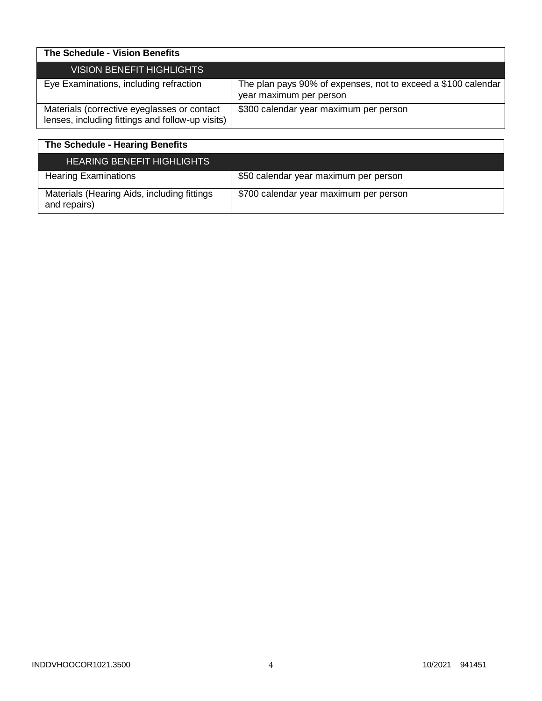| The Schedule - Vision Benefits                                                                  |                                                                                          |
|-------------------------------------------------------------------------------------------------|------------------------------------------------------------------------------------------|
| VISION BENEFIT HIGHLIGHTS                                                                       |                                                                                          |
| Eye Examinations, including refraction                                                          | The plan pays 90% of expenses, not to exceed a \$100 calendar<br>year maximum per person |
| Materials (corrective eyeglasses or contact<br>lenses, including fittings and follow-up visits) | \$300 calendar year maximum per person                                                   |

| The Schedule - Hearing Benefits                             |                                        |
|-------------------------------------------------------------|----------------------------------------|
| <b>HEARING BENEFIT HIGHLIGHTS</b>                           |                                        |
| <b>Hearing Examinations</b>                                 | \$50 calendar year maximum per person  |
| Materials (Hearing Aids, including fittings<br>and repairs) | \$700 calendar year maximum per person |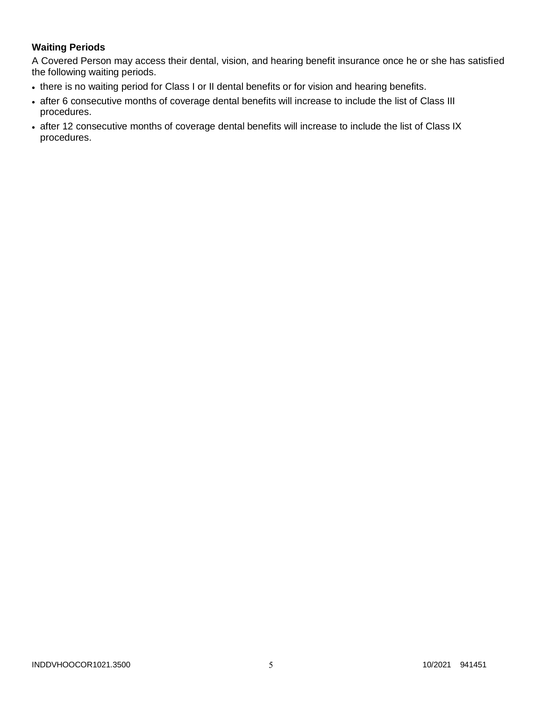# **Waiting Periods**

A Covered Person may access their dental, vision, and hearing benefit insurance once he or she has satisfied the following waiting periods.

- there is no waiting period for Class I or II dental benefits or for vision and hearing benefits.
- after 6 consecutive months of coverage dental benefits will increase to include the list of Class III procedures.
- after 12 consecutive months of coverage dental benefits will increase to include the list of Class IX procedures.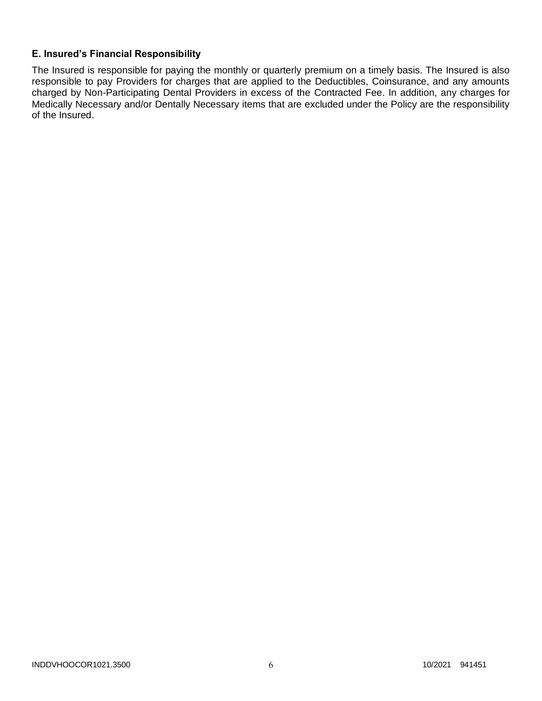# **E. Insured's Financial Responsibility**

The Insured is responsible for paying the monthly or quarterly premium on a timely basis. The Insured is also responsible to pay Providers for charges that are applied to the Deductibles, Coinsurance, and any amounts charged by Non-Participating Dental Providers in excess of the Contracted Fee. In addition, any charges for Medically Necessary and/or Dentally Necessary items that are excluded under the Policy are the responsibility of the Insured.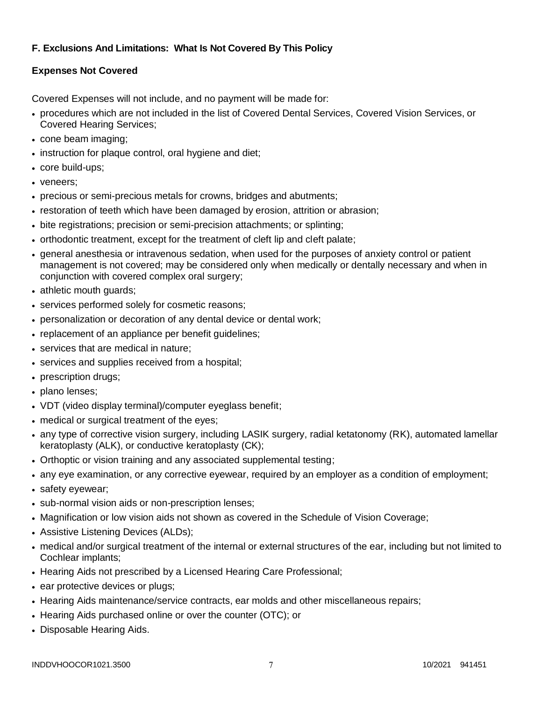# **F. Exclusions And Limitations: What Is Not Covered By This Policy**

# **Expenses Not Covered**

Covered Expenses will not include, and no payment will be made for:

- procedures which are not included in the list of Covered Dental Services, Covered Vision Services, or Covered Hearing Services;
- cone beam imaging;
- instruction for plaque control, oral hygiene and diet;
- core build-ups;
- veneers:
- precious or semi-precious metals for crowns, bridges and abutments;
- restoration of teeth which have been damaged by erosion, attrition or abrasion;
- bite registrations; precision or semi-precision attachments; or splinting;
- orthodontic treatment, except for the treatment of cleft lip and cleft palate;
- general anesthesia or intravenous sedation, when used for the purposes of anxiety control or patient management is not covered; may be considered only when medically or dentally necessary and when in conjunction with covered complex oral surgery;
- athletic mouth guards;
- services performed solely for cosmetic reasons;
- personalization or decoration of any dental device or dental work;
- replacement of an appliance per benefit guidelines;
- services that are medical in nature:
- services and supplies received from a hospital;
- prescription drugs;
- plano lenses:
- VDT (video display terminal)/computer eyeglass benefit;
- medical or surgical treatment of the eyes;
- any type of corrective vision surgery, including LASIK surgery, radial ketatonomy (RK), automated lamellar keratoplasty (ALK), or conductive keratoplasty (CK);
- Orthoptic or vision training and any associated supplemental testing;
- any eye examination, or any corrective eyewear, required by an employer as a condition of employment;
- safety eyewear;
- sub-normal vision aids or non-prescription lenses;
- Magnification or low vision aids not shown as covered in the Schedule of Vision Coverage;
- Assistive Listening Devices (ALDs);
- medical and/or surgical treatment of the internal or external structures of the ear, including but not limited to Cochlear implants;
- Hearing Aids not prescribed by a Licensed Hearing Care Professional;
- ear protective devices or plugs;
- Hearing Aids maintenance/service contracts, ear molds and other miscellaneous repairs;
- Hearing Aids purchased online or over the counter (OTC); or
- Disposable Hearing Aids.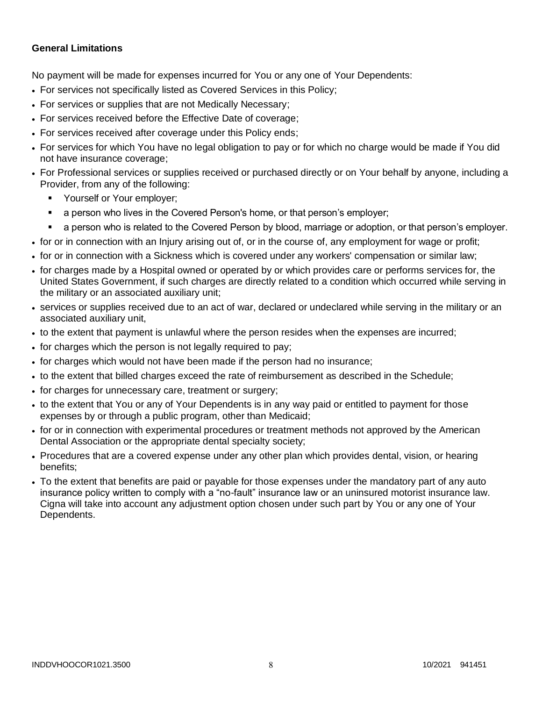# **General Limitations**

No payment will be made for expenses incurred for You or any one of Your Dependents:

- For services not specifically listed as Covered Services in this Policy;
- For services or supplies that are not Medically Necessary;
- For services received before the Effective Date of coverage;
- For services received after coverage under this Policy ends;
- For services for which You have no legal obligation to pay or for which no charge would be made if You did not have insurance coverage;
- For Professional services or supplies received or purchased directly or on Your behalf by anyone, including a Provider, from any of the following:
	- **Yourself or Your employer;**
	- a person who lives in the Covered Person's home, or that person's employer;
	- a person who is related to the Covered Person by blood, marriage or adoption, or that person's employer.
- for or in connection with an Injury arising out of, or in the course of, any employment for wage or profit;
- for or in connection with a Sickness which is covered under any workers' compensation or similar law;
- for charges made by a Hospital owned or operated by or which provides care or performs services for, the United States Government, if such charges are directly related to a condition which occurred while serving in the military or an associated auxiliary unit;
- services or supplies received due to an act of war, declared or undeclared while serving in the military or an associated auxiliary unit,
- to the extent that payment is unlawful where the person resides when the expenses are incurred;
- for charges which the person is not legally required to pay;
- for charges which would not have been made if the person had no insurance;
- to the extent that billed charges exceed the rate of reimbursement as described in the Schedule;
- for charges for unnecessary care, treatment or surgery;
- to the extent that You or any of Your Dependents is in any way paid or entitled to payment for those expenses by or through a public program, other than Medicaid;
- for or in connection with experimental procedures or treatment methods not approved by the American Dental Association or the appropriate dental specialty society;
- Procedures that are a covered expense under any other plan which provides dental, vision, or hearing benefits;
- To the extent that benefits are paid or payable for those expenses under the mandatory part of any auto insurance policy written to comply with a "no-fault" insurance law or an uninsured motorist insurance law. Cigna will take into account any adjustment option chosen under such part by You or any one of Your Dependents.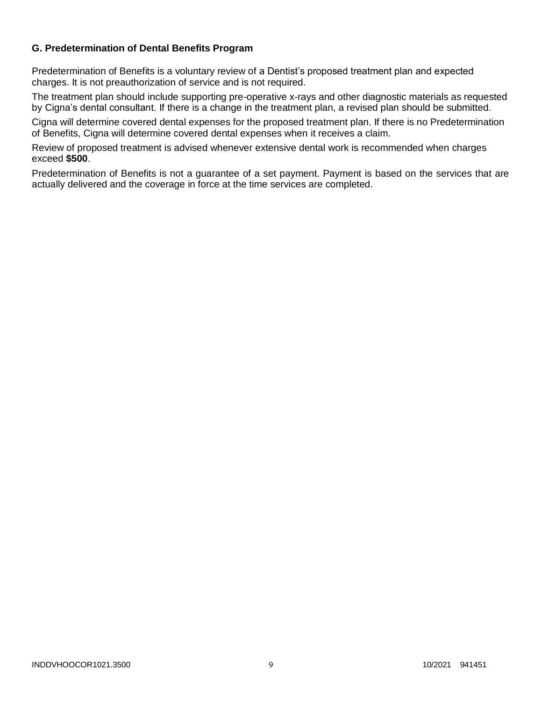# **G. Predetermination of Dental Benefits Program**

Predetermination of Benefits is a voluntary review of a Dentist's proposed treatment plan and expected charges. It is not preauthorization of service and is not required.

The treatment plan should include supporting pre-operative x-rays and other diagnostic materials as requested by Cigna's dental consultant. If there is a change in the treatment plan, a revised plan should be submitted.

Cigna will determine covered dental expenses for the proposed treatment plan. If there is no Predetermination of Benefits, Cigna will determine covered dental expenses when it receives a claim.

Review of proposed treatment is advised whenever extensive dental work is recommended when charges exceed **\$500**.

Predetermination of Benefits is not a guarantee of a set payment. Payment is based on the services that are actually delivered and the coverage in force at the time services are completed.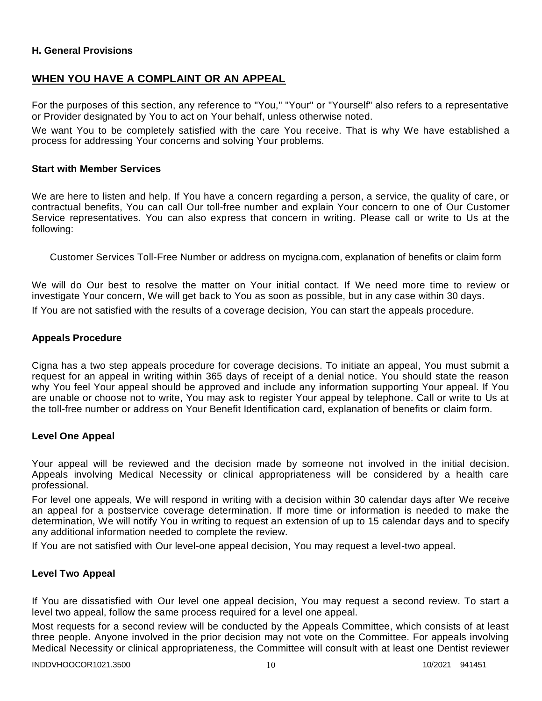## **H. General Provisions**

# **WHEN YOU HAVE A COMPLAINT OR AN APPEAL**

For the purposes of this section, any reference to "You," "Your" or "Yourself" also refers to a representative or Provider designated by You to act on Your behalf, unless otherwise noted.

We want You to be completely satisfied with the care You receive. That is why We have established a process for addressing Your concerns and solving Your problems.

#### **Start with Member Services**

We are here to listen and help. If You have a concern regarding a person, a service, the quality of care, or contractual benefits, You can call Our toll-free number and explain Your concern to one of Our Customer Service representatives. You can also express that concern in writing. Please call or write to Us at the following:

Customer Services Toll-Free Number or address on mycigna.com, explanation of benefits or claim form

We will do Our best to resolve the matter on Your initial contact. If We need more time to review or investigate Your concern, We will get back to You as soon as possible, but in any case within 30 days. If You are not satisfied with the results of a coverage decision, You can start the appeals procedure.

#### **Appeals Procedure**

Cigna has a two step appeals procedure for coverage decisions. To initiate an appeal, You must submit a request for an appeal in writing within 365 days of receipt of a denial notice. You should state the reason why You feel Your appeal should be approved and include any information supporting Your appeal. If You are unable or choose not to write, You may ask to register Your appeal by telephone. Call or write to Us at the toll-free number or address on Your Benefit Identification card, explanation of benefits or claim form.

#### **Level One Appeal**

Your appeal will be reviewed and the decision made by someone not involved in the initial decision. Appeals involving Medical Necessity or clinical appropriateness will be considered by a health care professional.

For level one appeals, We will respond in writing with a decision within 30 calendar days after We receive an appeal for a postservice coverage determination. If more time or information is needed to make the determination, We will notify You in writing to request an extension of up to 15 calendar days and to specify any additional information needed to complete the review.

If You are not satisfied with Our level-one appeal decision, You may request a level-two appeal.

#### **Level Two Appeal**

If You are dissatisfied with Our level one appeal decision, You may request a second review. To start a level two appeal, follow the same process required for a level one appeal.

Most requests for a second review will be conducted by the Appeals Committee, which consists of at least three people. Anyone involved in the prior decision may not vote on the Committee. For appeals involving Medical Necessity or clinical appropriateness, the Committee will consult with at least one Dentist reviewer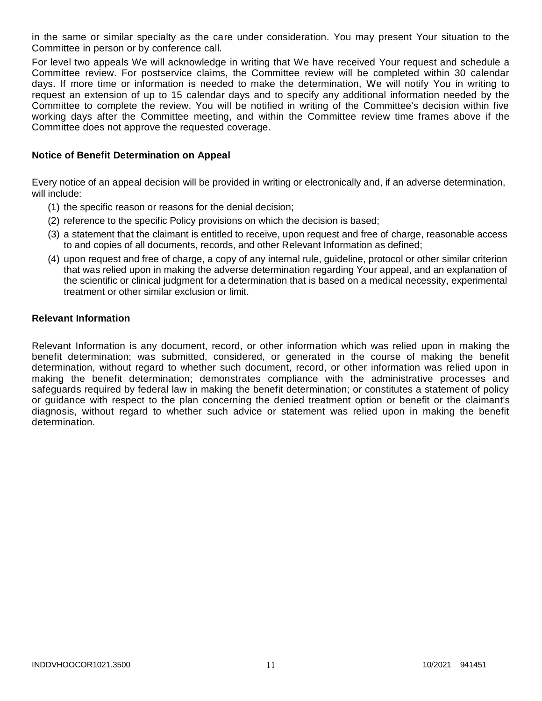in the same or similar specialty as the care under consideration. You may present Your situation to the Committee in person or by conference call.

For level two appeals We will acknowledge in writing that We have received Your request and schedule a Committee review. For postservice claims, the Committee review will be completed within 30 calendar days. If more time or information is needed to make the determination, We will notify You in writing to request an extension of up to 15 calendar days and to specify any additional information needed by the Committee to complete the review. You will be notified in writing of the Committee's decision within five working days after the Committee meeting, and within the Committee review time frames above if the Committee does not approve the requested coverage.

### **Notice of Benefit Determination on Appeal**

Every notice of an appeal decision will be provided in writing or electronically and, if an adverse determination, will include:

- (1) the specific reason or reasons for the denial decision;
- (2) reference to the specific Policy provisions on which the decision is based;
- (3) a statement that the claimant is entitled to receive, upon request and free of charge, reasonable access to and copies of all documents, records, and other Relevant Information as defined;
- (4) upon request and free of charge, a copy of any internal rule, guideline, protocol or other similar criterion that was relied upon in making the adverse determination regarding Your appeal, and an explanation of the scientific or clinical judgment for a determination that is based on a medical necessity, experimental treatment or other similar exclusion or limit.

#### **Relevant Information**

Relevant Information is any document, record, or other information which was relied upon in making the benefit determination; was submitted, considered, or generated in the course of making the benefit determination, without regard to whether such document, record, or other information was relied upon in making the benefit determination; demonstrates compliance with the administrative processes and safeguards required by federal law in making the benefit determination; or constitutes a statement of policy or guidance with respect to the plan concerning the denied treatment option or benefit or the claimant's diagnosis, without regard to whether such advice or statement was relied upon in making the benefit determination.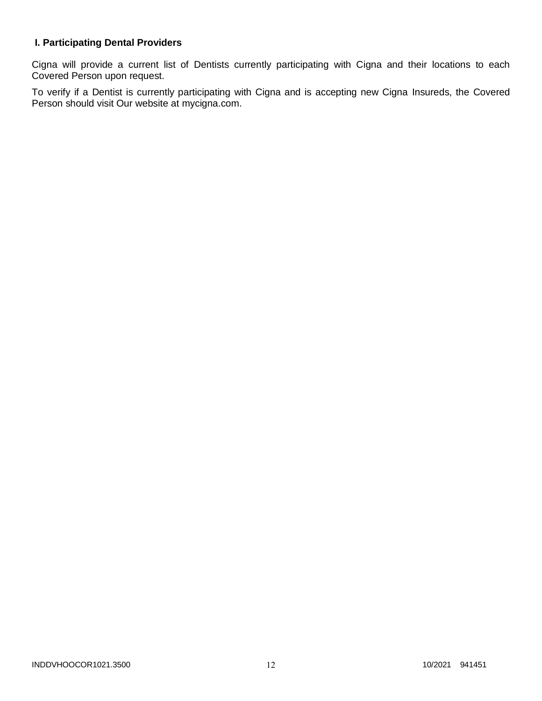# **I. Participating Dental Providers**

Cigna will provide a current list of Dentists currently participating with Cigna and their locations to each Covered Person upon request.

To verify if a Dentist is currently participating with Cigna and is accepting new Cigna Insureds, the Covered Person should visit Our website at mycigna.com.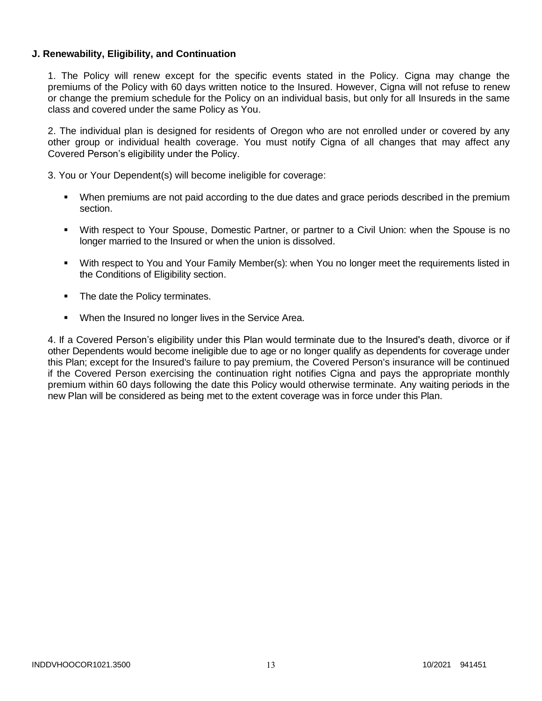## **J. Renewability, Eligibility, and Continuation**

1. The Policy will renew except for the specific events stated in the Policy. Cigna may change the premiums of the Policy with 60 days written notice to the Insured. However, Cigna will not refuse to renew or change the premium schedule for the Policy on an individual basis, but only for all Insureds in the same class and covered under the same Policy as You.

2. The individual plan is designed for residents of Oregon who are not enrolled under or covered by any other group or individual health coverage. You must notify Cigna of all changes that may affect any Covered Person's eligibility under the Policy.

3. You or Your Dependent(s) will become ineligible for coverage:

- When premiums are not paid according to the due dates and grace periods described in the premium section.
- With respect to Your Spouse, Domestic Partner, or partner to a Civil Union: when the Spouse is no longer married to the Insured or when the union is dissolved.
- With respect to You and Your Family Member(s): when You no longer meet the requirements listed in the Conditions of Eligibility section.
- The date the Policy terminates.
- **When the Insured no longer lives in the Service Area.**

4. If a Covered Person's eligibility under this Plan would terminate due to the Insured's death, divorce or if other Dependents would become ineligible due to age or no longer qualify as dependents for coverage under this Plan; except for the Insured's failure to pay premium, the Covered Person's insurance will be continued if the Covered Person exercising the continuation right notifies Cigna and pays the appropriate monthly premium within 60 days following the date this Policy would otherwise terminate. Any waiting periods in the new Plan will be considered as being met to the extent coverage was in force under this Plan.